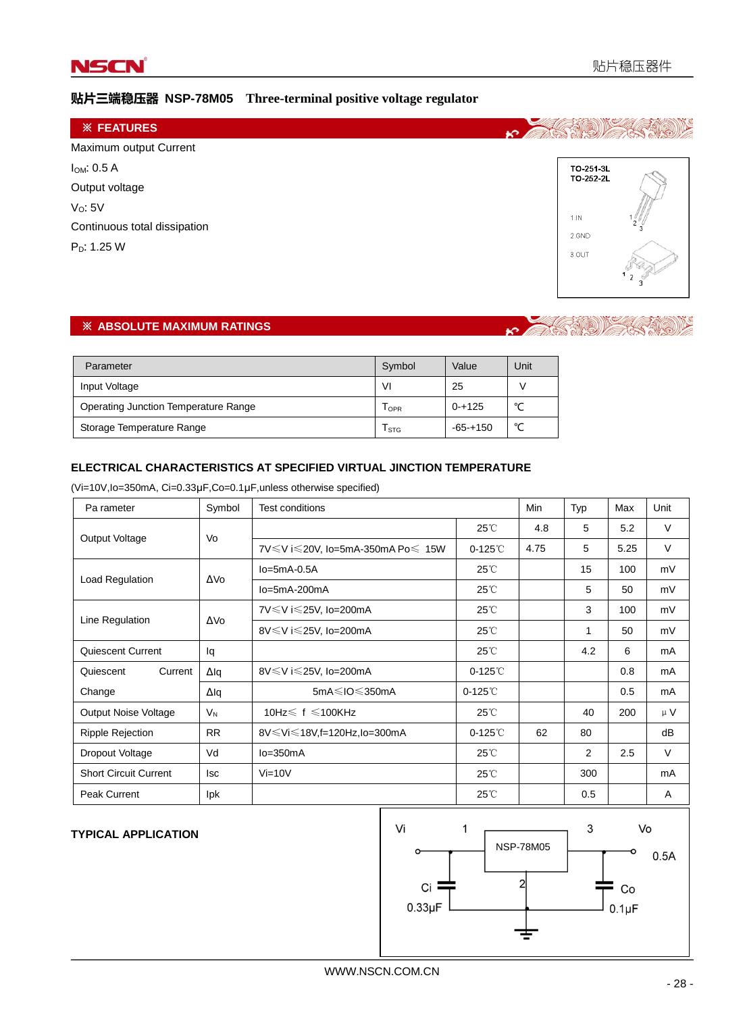

# 贴片三端稳压器 **NSP-78M05 Three-terminal positive voltage regulator**

| <b><i>※ FEATURES</i></b>     |               |
|------------------------------|---------------|
| Maximum output Current       |               |
| $I_{OM}: 0.5 A$              | TO-251-3L     |
| Output voltage               | TO-252-2L     |
| V <sub>O</sub> : 5V          |               |
| Continuous total dissipation | 1.1N<br>2.GND |
| $P_D: 1.25 W$                | 3.OUT         |
|                              |               |
|                              |               |

# ※ **ABSOLUTE MAXIMUM RATINGS**

#### **TAS NOW**  $\mathbf{k}$

| Parameter                            | Symbol  | Value       | Unit   |
|--------------------------------------|---------|-------------|--------|
| Input Voltage                        | ٧I      | 25          |        |
| Operating Junction Temperature Range | $I$ OPR | $0 - + 125$ | $\sim$ |
| Storage Temperature Range            | I STG   | $-65-+150$  | $\sim$ |

#### **ELECTRICAL CHARACTERISTICS AT SPECIFIED VIRTUAL JINCTION TEMPERATURE**

(Vi=10V,Io=350mA, Ci=0.33μF,Co=0.1μF,unless otherwise specified)

| Pa rameter                   | Symbol      | <b>Test conditions</b>                |                       | Min  | Typ | Max  | Unit   |
|------------------------------|-------------|---------------------------------------|-----------------------|------|-----|------|--------|
| Output Voltage               | Vo          |                                       | $25^{\circ}$          | 4.8  | 5   | 5.2  | V      |
|                              |             | 7V ≤ V i ≤ 20V, lo=5mA-350mA Po ≤ 15W | $0-125^\circ\text{C}$ | 4.75 | 5   | 5.25 | $\vee$ |
|                              | ΔVο         | $Io=5mA-0.5A$                         | $25^{\circ}$ C        |      | 15  | 100  | mV     |
| Load Regulation              |             | $Io = 5mA - 200mA$                    | $25^{\circ}$          |      | 5   | 50   | mV     |
|                              |             | 7V≤V i≤25V, lo=200mA                  | $25^{\circ}$ C        |      | 3   | 100  | mV     |
| Line Regulation              | ΔVο         | 8V≤V i≤25V, lo=200mA                  | $25^{\circ}$ C        |      | 1   | 50   | mV     |
| Quiescent Current            | lq          |                                       | $25^{\circ}$          |      | 4.2 | 6    | mA     |
| Current<br>Quiescent         | $\Delta$ lq | 8V ≤ V i ≤ 25V, lo=200mA              | $0-125^\circ$         |      |     | 0.8  | mA     |
| Change                       | $\Delta$ lq | 5mA≤IO≤350mA                          | $0-125^\circ$         |      |     | 0.5  | mA     |
| Output Noise Voltage         | $V_{N}$     | 10Hz $\leq$ f $\leq$ 100KHz           | $25^{\circ}$          |      | 40  | 200  | μV     |
| <b>Ripple Rejection</b>      | <b>RR</b>   | 8V ≤ Vi ≤ 18V, f=120Hz, lo=300mA      | $0-125^\circ\text{C}$ | 62   | 80  |      | dB     |
| Dropout Voltage              | Vd          | $lo = 350mA$                          | $25^{\circ}$ C        |      | 2   | 2.5  | $\vee$ |
| <b>Short Circuit Current</b> | lsc         | $Vi=10V$                              | $25^{\circ}$          |      | 300 |      | mA     |
| <b>Peak Current</b>          | <b>lpk</b>  |                                       | $25^{\circ}$          |      | 0.5 |      | Α      |

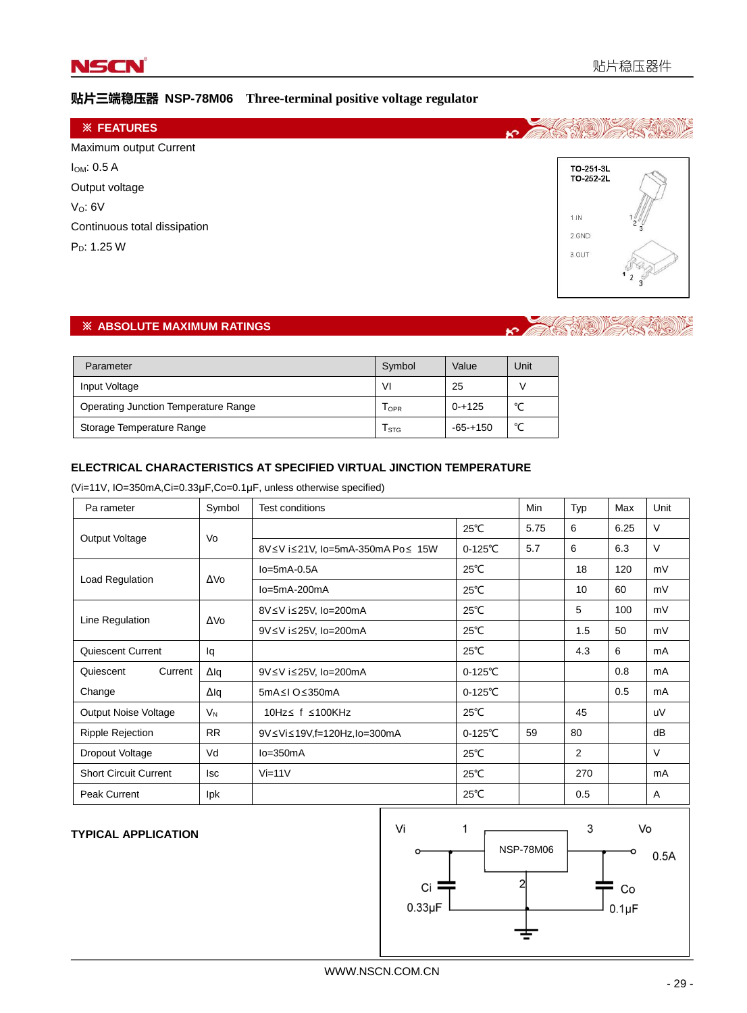

# 贴片三端稳压器 **NSP-78M06 Three-terminal positive voltage regulator**

| <b><i>※ FEATURES</i></b>     |               |
|------------------------------|---------------|
| Maximum output Current       |               |
| $I_{OM}: 0.5 A$              | TO-251-3L     |
| Output voltage               | TO-252-2L     |
| V <sub>O</sub> : 6V          |               |
| Continuous total dissipation | 1.1N<br>2.GND |
| $P_D: 1.25 W$                | 3.OUT         |
|                              |               |
|                              |               |

### ※ **ABSOLUTE MAXIMUM RATINGS**

# K MARSHID

| Parameter                                   | Symbol | Value        | Unit   |
|---------------------------------------------|--------|--------------|--------|
| Input Voltage                               | VI     | 25           |        |
| <b>Operating Junction Temperature Range</b> | I OPR  | $0 - + 125$  | $\sim$ |
| Storage Temperature Range                   | I STG  | $-65 - +150$ | $\sim$ |

#### **ELECTRICAL CHARACTERISTICS AT SPECIFIED VIRTUAL JINCTION TEMPERATURE**

(Vi=11V, IO=350mA,Ci=0.33μF,Co=0.1μF, unless otherwise specified)

| Pa rameter                   | Symbol      | <b>Test conditions</b>           |                    | Min  | Typ | Max  | Unit   |
|------------------------------|-------------|----------------------------------|--------------------|------|-----|------|--------|
| Output Voltage               | Vo          |                                  | $25^{\circ}$ C     | 5.75 | 6   | 6.25 | V      |
|                              |             | 8V≤V i≤21V, lo=5mA-350mA Po≤ 15W | $0 - 125^{\circ}C$ | 5.7  | 6   | 6.3  | $\vee$ |
|                              |             | $Io=5mA-0.5A$                    | $25^{\circ}$ C     |      | 18  | 120  | mV     |
| Load Regulation              | ΔVο         | $Io = 5mA - 200mA$               | $25^{\circ}$ C     |      | 10  | 60   | mV     |
|                              |             | 8V≤V i≤25V, lo=200mA             | $25^{\circ}$ C     |      | 5   | 100  | mV     |
| Line Regulation              | ΔVο         | 9V≤V i≤25V, lo=200mA             | $25^{\circ}$ C     |      | 1.5 | 50   | mV     |
| Quiescent Current            | lq          |                                  | $25^{\circ}$ C     |      | 4.3 | 6    | mA     |
| Current<br>Quiescent         | Δlq         | 9V≤V i≤25V, lo=200mA             | $0 - 125^{\circ}C$ |      |     | 0.8  | mA     |
| Change                       | $\Delta$ lq | 5mA≤I O≤350mA                    | $0 - 125^{\circ}C$ |      |     | 0.5  | mA     |
| Output Noise Voltage         | $V_{N}$     | 10Hz ≤ f ≤100KHz                 | $25^{\circ}$ C     |      | 45  |      | uV     |
| <b>Ripple Rejection</b>      | <b>RR</b>   | 9V≤Vi≤19V,f=120Hz,lo=300mA       | $0 - 125^{\circ}C$ | 59   | 80  |      | dB     |
| Dropout Voltage              | Vd          | $lo = 350mA$                     | $25^{\circ}$ C     |      | 2   |      | $\vee$ |
| <b>Short Circuit Current</b> | lsc         | $Vi=11V$                         | $25^{\circ}$ C     |      | 270 |      | mA     |
| <b>Peak Current</b>          | <b>lpk</b>  |                                  | $25^{\circ}$ C     |      | 0.5 |      | A      |

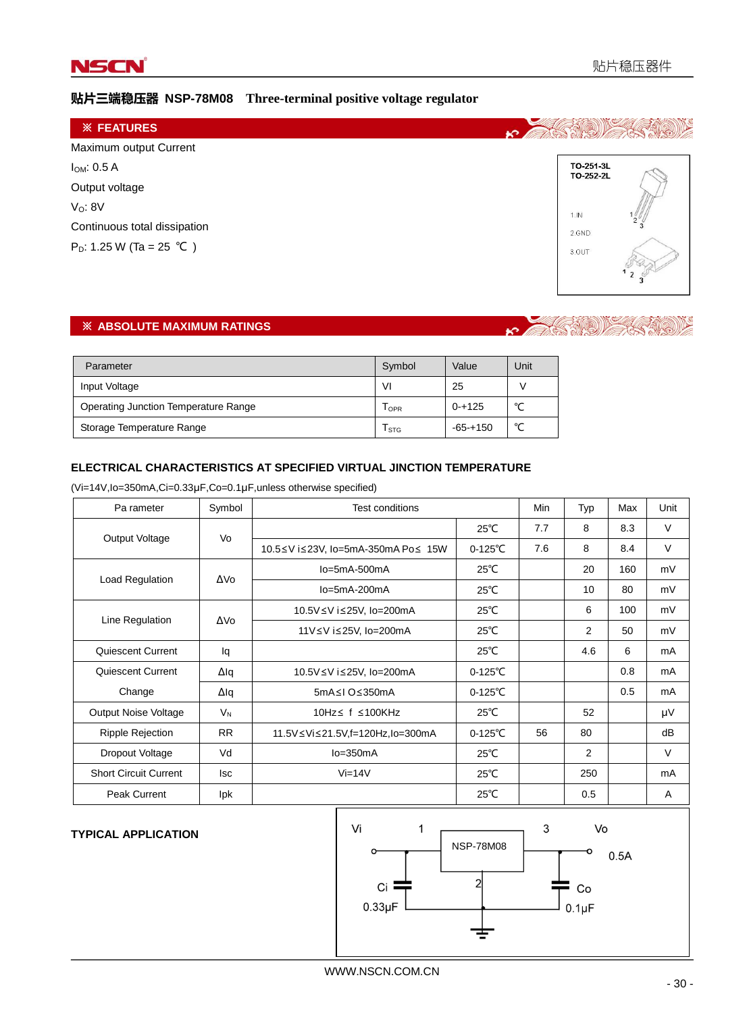

# 贴片三端稳压器 **NSP-78M08 Three-terminal positive voltage regulator**

| <b>※ FEATURES</b>                    |                        |  |
|--------------------------------------|------------------------|--|
| Maximum output Current               |                        |  |
| $I_{OM}: 0.5 A$                      | TO-251-3L<br>TO-252-2L |  |
| Output voltage                       |                        |  |
| $V_0$ : 8 $V$                        | 1.1N                   |  |
| Continuous total dissipation         | 2.GND                  |  |
| P <sub>D</sub> : 1.25 W (Ta = 25 °C) | 3.OUT                  |  |
|                                      |                        |  |

# ※ **ABSOLUTE MAXIMUM RATINGS**

#### **TAS NOW!**  $\mathbf{k}$

| Parameter                            | Symbol  | Value        | Unit   |
|--------------------------------------|---------|--------------|--------|
| Input Voltage                        | VI      | 25           |        |
| Operating Junction Temperature Range | $I$ OPR | $0 - + 125$  | $\sim$ |
| Storage Temperature Range            | I STG   | $-65 - +150$ | $\sim$ |

#### **ELECTRICAL CHARACTERISTICS AT SPECIFIED VIRTUAL JINCTION TEMPERATURE**

(Vi=14V,Io=350mA,Ci=0.33μF,Co=0.1μF,unless otherwise specified)

| Pa rameter                   | Symbol     | <b>Test conditions</b>             |                    | Min | Typ | Max | Unit |
|------------------------------|------------|------------------------------------|--------------------|-----|-----|-----|------|
|                              |            |                                    | $25^{\circ}$ C     | 7.7 | 8   | 8.3 | V    |
| Output Voltage               | Vo         | 10.5≤V i≤23V, lo=5mA-350mA Po≤ 15W | $0 - 125^{\circ}C$ | 7.6 | 8   | 8.4 | V    |
|                              | ΔVο        | $lo = 5mA - 500mA$                 | $25^{\circ}$ C     |     | 20  | 160 | mV   |
| Load Regulation              |            | $lo = 5mA - 200mA$                 | $25^{\circ}$ C     |     | 10  | 80  | mV   |
|                              | ΔVο        | 10.5V≤V i≤25V, lo=200mA            | $25^{\circ}$ C     |     | 6   | 100 | mV   |
| Line Regulation              |            | 11V≤V i≤25V, lo=200mA              | $25^{\circ}$ C     |     | 2   | 50  | mV   |
| Quiescent Current            | lq         |                                    | $25^{\circ}$ C     |     | 4.6 | 6   | mA   |
| Quiescent Current            | Δlq        | 10.5V≤V i≤25V, lo=200mA            | $0 - 125^{\circ}C$ |     |     | 0.8 | mA   |
| Change                       | Δlq        | 5mA≤I O≤350mA                      | $0 - 125^{\circ}C$ |     |     | 0.5 | mA   |
| <b>Output Noise Voltage</b>  | $V_{N}$    | 10Hz ≤ f ≤100KHz                   | $25^{\circ}$ C     |     | 52  |     | μV   |
| <b>Ripple Rejection</b>      | <b>RR</b>  | 11.5V≤Vi≤21.5V,f=120Hz,lo=300mA    | $0 - 125^{\circ}C$ | 56  | 80  |     | dB   |
| Dropout Voltage              | Vd         | $lo = 350mA$                       | $25^{\circ}$ C     |     | 2   |     | v    |
| <b>Short Circuit Current</b> | <b>Isc</b> | $Vi=14V$                           | $25^{\circ}$ C     |     | 250 |     | mA   |
| Peak Current                 | lpk        |                                    | $25^{\circ}$ C     |     | 0.5 |     | A    |

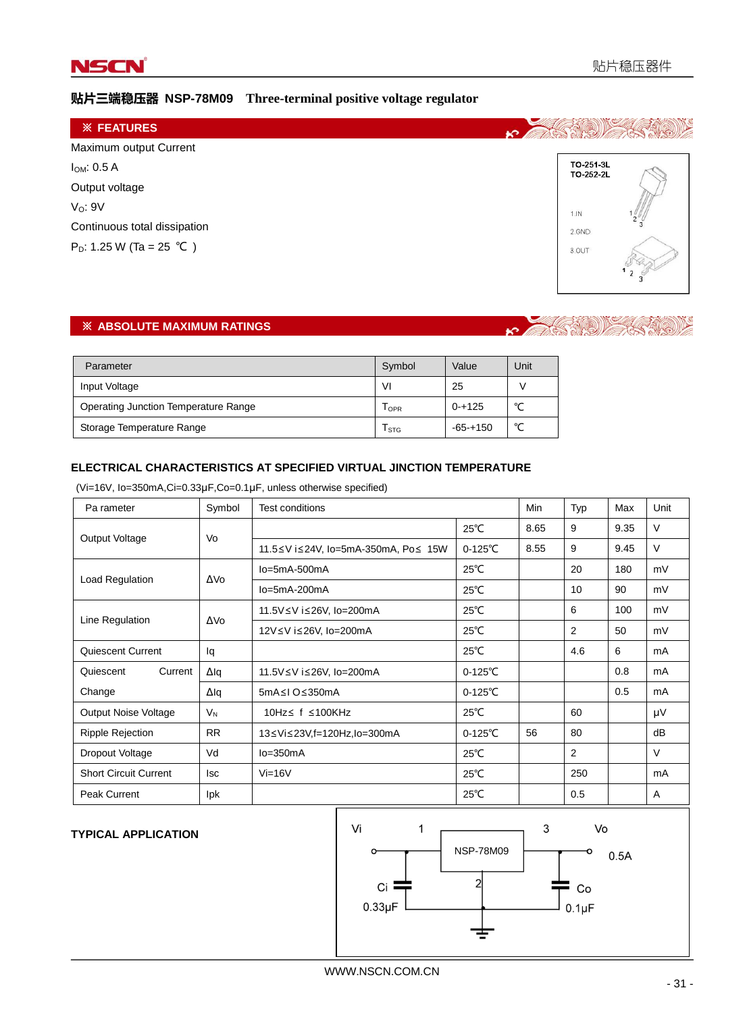

# 贴片三端稳压器 **NSP-78M09 Three-terminal positive voltage regulator**

| <b>※ FEATURES</b>                    |                         |
|--------------------------------------|-------------------------|
| Maximum output Current               |                         |
| $I_{OM}: 0.5 A$                      | TO-251-3L<br>TO-252-2L  |
| Output voltage                       |                         |
| V <sub>O</sub> : 9V                  | 1.1N                    |
| Continuous total dissipation         | $2\frac{6}{7}$<br>2.GND |
| P <sub>D</sub> : 1.25 W (Ta = 25 °C) | 3.OUT                   |
|                                      |                         |

# ※ **ABSOLUTE MAXIMUM RATINGS**

# **K** CASARI

| Parameter                                   | Symbol  | Value       | Unit   |
|---------------------------------------------|---------|-------------|--------|
| Input Voltage                               | ٧I      | 25          |        |
| <b>Operating Junction Temperature Range</b> | $I$ OPR | $0 - + 125$ | $\sim$ |
| Storage Temperature Range                   | I STG   | $-65-+150$  | $\sim$ |

#### **ELECTRICAL CHARACTERISTICS AT SPECIFIED VIRTUAL JINCTION TEMPERATURE**

(Vi=16V, Io=350mA,Ci=0.33μF,Co=0.1μF, unless otherwise specified)

| Pa rameter                   | Symbol          | Test conditions                     |                    | Min  | Typ            | Max  | Unit   |
|------------------------------|-----------------|-------------------------------------|--------------------|------|----------------|------|--------|
|                              | Vo              |                                     | $25^{\circ}$ C     | 8.65 | 9              | 9.35 | V      |
| Output Voltage               |                 | 11.5≤V i≤24V, lo=5mA-350mA, Po≤ 15W | $0-125^{\circ}$ C  | 8.55 | 9              | 9.45 | $\vee$ |
|                              |                 | lo=5mA-500mA                        | $25^{\circ}$ C     |      | 20             | 180  | mV     |
| Load Regulation              | ΔVο             | $Io = 5mA - 200mA$                  | $25^{\circ}$ C     |      | 10             | 90   | mV     |
|                              |                 | 11.5V ≤ V i ≤ 26V, lo=200mA         | $25^{\circ}$ C     |      | 6              | 100  | mV     |
| Line Regulation              | ΔV <sub>0</sub> | 12V≤V i≤26V, lo=200mA               | $25^{\circ}$ C     |      | $\overline{2}$ | 50   | mV     |
| Quiescent Current            | lq              |                                     | $25^{\circ}$ C     |      | 4.6            | 6    | mA     |
| Current<br>Quiescent         | $\Delta$ lq     | 11.5V≤V i≤26V, lo=200mA             | $0-125^{\circ}$ C  |      |                | 0.8  | mA     |
| Change                       | $\Delta$ lq     | 5mA≤I O≤350mA                       | $0 - 125^{\circ}C$ |      |                | 0.5  | mA     |
| Output Noise Voltage         | $V_{N}$         | 10Hz ≤ f ≤100KHz                    | $25^{\circ}$ C     |      | 60             |      | μV     |
| <b>Ripple Rejection</b>      | <b>RR</b>       | 13≤Vi≤23V,f=120Hz,lo=300mA          | $0 - 125^{\circ}C$ | 56   | 80             |      | dB     |
| Dropout Voltage              | Vd              | $lo = 350mA$                        | $25^{\circ}$ C     |      | 2              |      | $\vee$ |
| <b>Short Circuit Current</b> | lsc             | $Vi=16V$                            | $25^{\circ}$ C     |      | 250            |      | mA     |
| <b>Peak Current</b>          | <b>lpk</b>      |                                     | $25^{\circ}$ C     |      | 0.5            |      | A      |

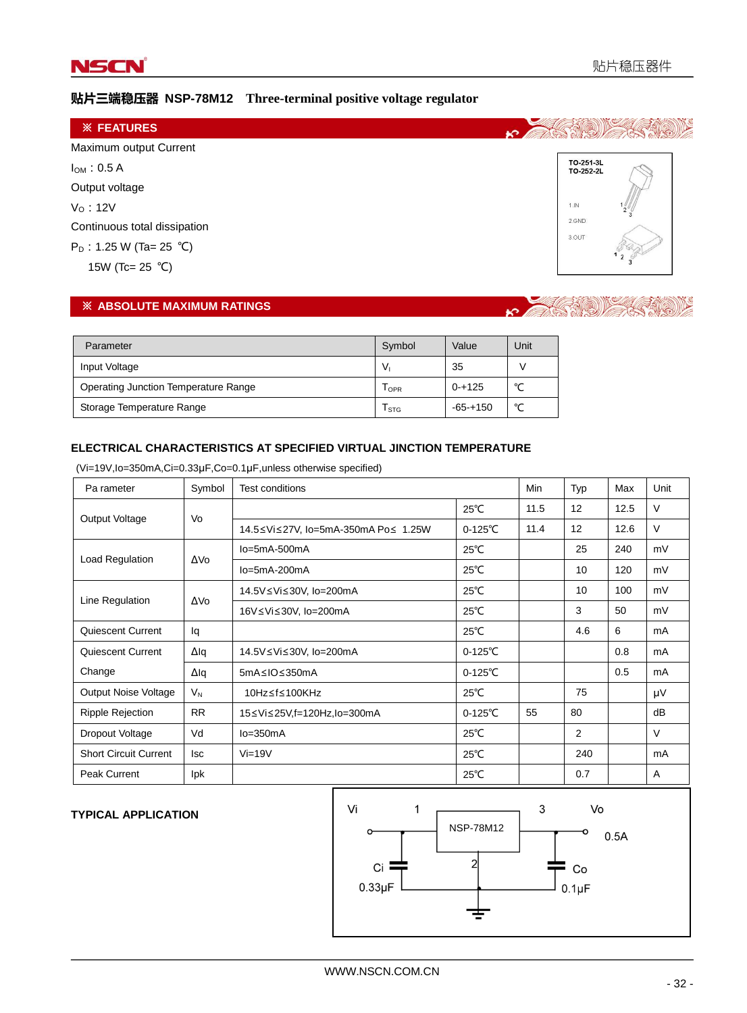

# 贴片三端稳压器 **NSP-78M12 Three-terminal positive voltage regulator**



#### ※ **ABSOLUTE MAXIMUM RATINGS**



| Parameter                            | Symbol         | Value       | Unit   |
|--------------------------------------|----------------|-------------|--------|
| Input Voltage                        | V <sub>i</sub> | 35          |        |
| Operating Junction Temperature Range | $1$ OPR        | $0 + 125$   | $\sim$ |
| Storage Temperature Range            | I STG          | $-65 + 150$ | $\sim$ |

#### **ELECTRICAL CHARACTERISTICS AT SPECIFIED VIRTUAL JINCTION TEMPERATURE**

(Vi=19V,Io=350mA,Ci=0.33μF,Co=0.1μF,unless otherwise specified)

| Pa rameter                   | Symbol    | <b>Test conditions</b>              |                   | Min  | Typ | Max  | Unit   |
|------------------------------|-----------|-------------------------------------|-------------------|------|-----|------|--------|
| Output Voltage               | Vo        |                                     | $25^{\circ}$ C    | 11.5 | 12  | 12.5 | V      |
|                              |           | 14.5≤Vi≤27V, lo=5mA-350mA Po≤ 1.25W | $0-125^{\circ}$ C | 11.4 | 12  | 12.6 | $\vee$ |
| Load Regulation              | ΔVο       | $Io = 5mA - 500mA$                  | $25^{\circ}$ C    |      | 25  | 240  | mV     |
|                              |           | $Io = 5mA - 200mA$                  | $25^{\circ}$ C    |      | 10  | 120  | mV     |
| Line Regulation              | ΔVο       | 14.5V ≤ Vi ≤ 30V, Io=200mA          | $25^{\circ}$ C    |      | 10  | 100  | mV     |
|                              |           | 16V≤Vi≤30V, lo=200mA                | $25^{\circ}$ C    |      | 3   | 50   | mV     |
| Quiescent Current            | lq        |                                     | $25^{\circ}$ C    |      | 4.6 | 6    | mA     |
| Quiescent Current            | Δlq       | 14.5V ≤ Vi ≤ 30V, Io=200mA          | $0-125^{\circ}$ C |      |     | 0.8  | mA     |
| Change                       | Δlq       | 5mA≤IO≤350mA                        | $0-125^{\circ}$ C |      |     | 0.5  | mA     |
| Output Noise Voltage         | $V_{N}$   | 10Hz≤f≤100KHz                       | $25^{\circ}$ C    |      | 75  |      | μV     |
| <b>Ripple Rejection</b>      | <b>RR</b> | 15≤Vi≤25V,f=120Hz,lo=300mA          | $0-125^{\circ}$ C | 55   | 80  |      | dB     |
| Dropout Voltage              | Vd        | $lo = 350mA$                        | $25^{\circ}$ C    |      | 2   |      | V      |
| <b>Short Circuit Current</b> | lsc       | $Vi=19V$                            | $25^{\circ}$ C    |      | 240 |      | mA     |
| <b>Peak Current</b>          | Ipk       |                                     | $25^{\circ}$ C    |      | 0.7 |      | A      |

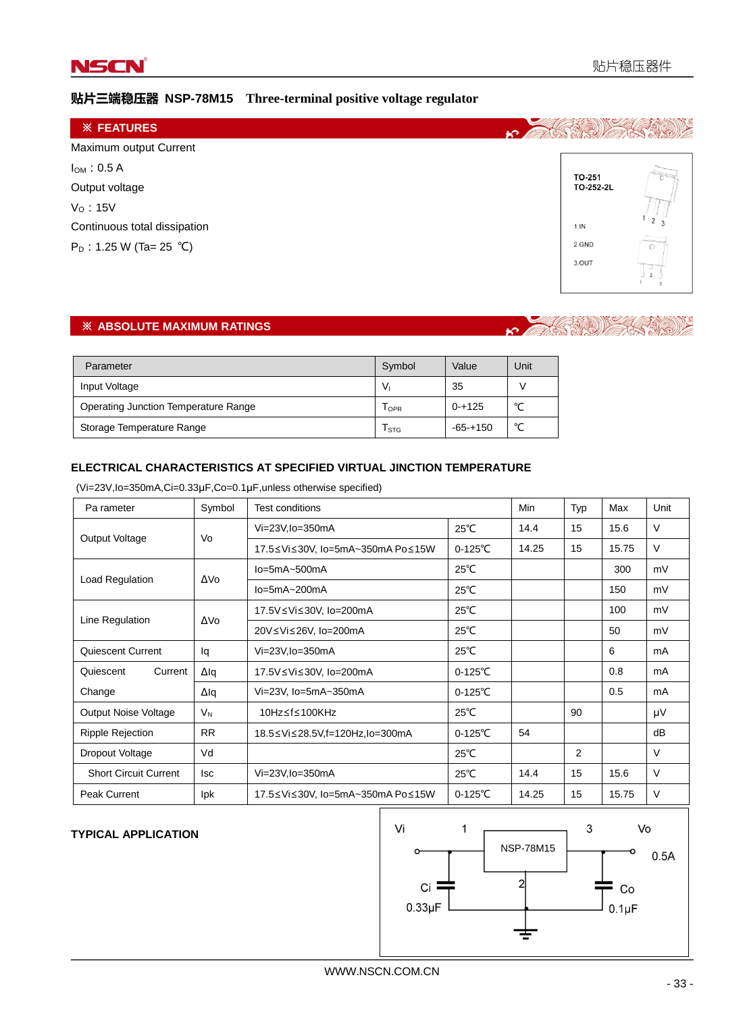

# 贴片三端稳压器 **NSP-78M15 Three-terminal positive voltage regulator**

| <b>※ FEATURES</b>            |                                       |
|------------------------------|---------------------------------------|
| Maximum output Current       |                                       |
| $I_{OM}$ : 0.5 A             | TO-251                                |
| Output voltage               | TO-252-2L                             |
| $VO$ : 15V                   |                                       |
| Continuous total dissipation | 2 <sub>2</sub><br>1.1N                |
| $P_D$ : 1.25 W (Ta= 25 °C)   | <b>Contractor</b><br>2.GND<br>$\circ$ |
|                              | 3.OUT                                 |

# ※ **ABSOLUTE MAXIMUM RATINGS**

#### $\mathbb{R}$  ((@)))  $\mathbf{r}$

| Parameter                                   | Symbol         | Value       | Unit   |
|---------------------------------------------|----------------|-------------|--------|
| Input Voltage                               | V <sub>i</sub> | 35          |        |
| <b>Operating Junction Temperature Range</b> | $I$ OPR        | $0 - + 125$ | $\sim$ |
| Storage Temperature Range                   | I STG          | $-65 + 150$ | $\sim$ |

#### **ELECTRICAL CHARACTERISTICS AT SPECIFIED VIRTUAL JINCTION TEMPERATURE**

(Vi=23V,Io=350mA,Ci=0.33μF,Co=0.1μF,unless otherwise specified)

| Pa rameter                   | Symbol          | <b>Test conditions</b>           |                    | Min   | Typ | Max   | Unit |
|------------------------------|-----------------|----------------------------------|--------------------|-------|-----|-------|------|
| Output Voltage               | Vo              | $Vi=23V$ , $lo=350mA$            | $25^{\circ}$ C     | 14.4  | 15  | 15.6  | V    |
|                              |                 | 17.5≤Vi≤30V, lo=5mA~350mA Po≤15W | $0 - 125^{\circ}C$ | 14.25 | 15  | 15.75 | V    |
| Load Regulation              | ΔVο             | $lo = 5mA - 500mA$               | $25^{\circ}$ C     |       |     | 300   | mV   |
|                              |                 | $lo = 5mA - 200mA$               | $25^{\circ}$ C     |       |     | 150   | mV   |
| Line Regulation              | ΔV <sub>0</sub> | 17.5V≤Vi≤30V, lo=200mA           | $25^{\circ}$ C     |       |     | 100   | mV   |
|                              |                 | 20V≤Vi≤26V, lo=200mA             | $25^{\circ}$ C     |       |     | 50    | mV   |
| Quiescent Current            | lq              | $Vi=23V$ , $lo=350mA$            | $25^{\circ}$ C     |       |     | 6     | mA   |
| Current<br>Quiescent         | Δlq             | 17.5V≤Vi≤30V, lo=200mA           | $0 - 125^{\circ}C$ |       |     | 0.8   | mA   |
| Change                       | Δlq             | Vi=23V, Io=5mA~350mA             | $0 - 125^{\circ}C$ |       |     | 0.5   | mA   |
| <b>Output Noise Voltage</b>  | $V_{N}$         | 10Hz≤f≤100KHz                    | $25^{\circ}$ C     |       | 90  |       | μV   |
| Ripple Rejection             | <b>RR</b>       | 18.5≤Vi≤28.5V,f=120Hz,lo=300mA   | $0 - 125^{\circ}C$ | 54    |     |       | dB   |
| Dropout Voltage              | Vd              |                                  | $25^{\circ}$ C     |       | 2   |       | V    |
| <b>Short Circuit Current</b> | <b>Isc</b>      | Vi=23V, lo=350mA                 | $25^{\circ}$ C     | 14.4  | 15  | 15.6  | V    |
| <b>Peak Current</b>          | <b>lpk</b>      | 17.5≤Vi≤30V, lo=5mA~350mA Po≤15W | $0 - 125^{\circ}C$ | 14.25 | 15  | 15.75 | V    |